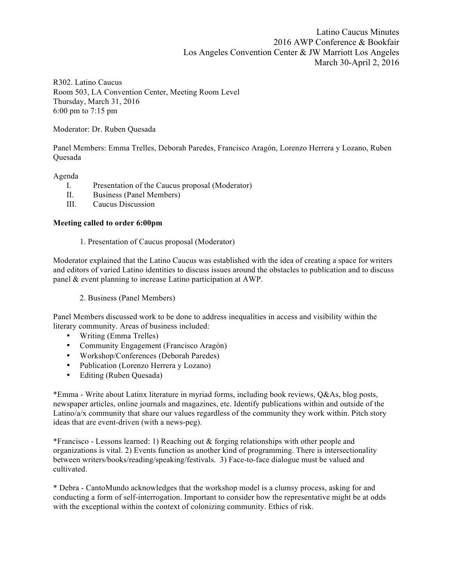Latino Caucus Minutes 2016 AWP Conference & Bookfair Los Angeles Convention Center & JW Marriott Los Angeles March 30-April 2, 2016

R302. Latino Caucus Room 503, LA Convention Center, Meeting Room Level Thursday, March 31, 2016 6:00 pm to 7:15 pm

Moderator: Dr. Ruben Quesada

Panel Members: Emma Trelles, Deborah Paredes, Francisco Aragón, Lorenzo Herrera y Lozano, Ruben Quesada

### Agenda

- I. Presentation of the Caucus proposal (Moderator)
- II. Business (Panel Members)
- III. Caucus Discussion

### **Meeting called to order 6:00pm**

1. Presentation of Caucus proposal (Moderator)

Moderator explained that the Latino Caucus was established with the idea of creating a space for writers and editors of varied Latino identities to discuss issues around the obstacles to publication and to discuss panel & event planning to increase Latino participation at AWP.

2. Business (Panel Members)

Panel Members discussed work to be done to address inequalities in access and visibility within the literary community. Areas of business included:

- Writing (Emma Trelles)
- Community Engagement (Francisco Aragón)
- Workshop/Conferences (Deborah Paredes)
- Publication (Lorenzo Herrera y Lozano)
- Editing (Ruben Quesada)

\*Emma - Write about Latinx literature in myriad forms, including book reviews, Q&As, blog posts, newspaper articles, online journals and magazines, etc. Identify publications within and outside of the Latino/a/x community that share our values regardless of the community they work within. Pitch story ideas that are event-driven (with a news-peg).

\*Francisco - Lessons learned: 1) Reaching out & forging relationships with other people and organizations is vital. 2) Events function as another kind of programming. There is intersectionality between writers/books/reading/speaking/festivals. 3) Face-to-face dialogue must be valued and cultivated.

\* Debra - CantoMundo acknowledges that the workshop model is a clumsy process, asking for and conducting a form of self-interrogation. Important to consider how the representative might be at odds with the exceptional within the context of colonizing community. Ethics of risk.